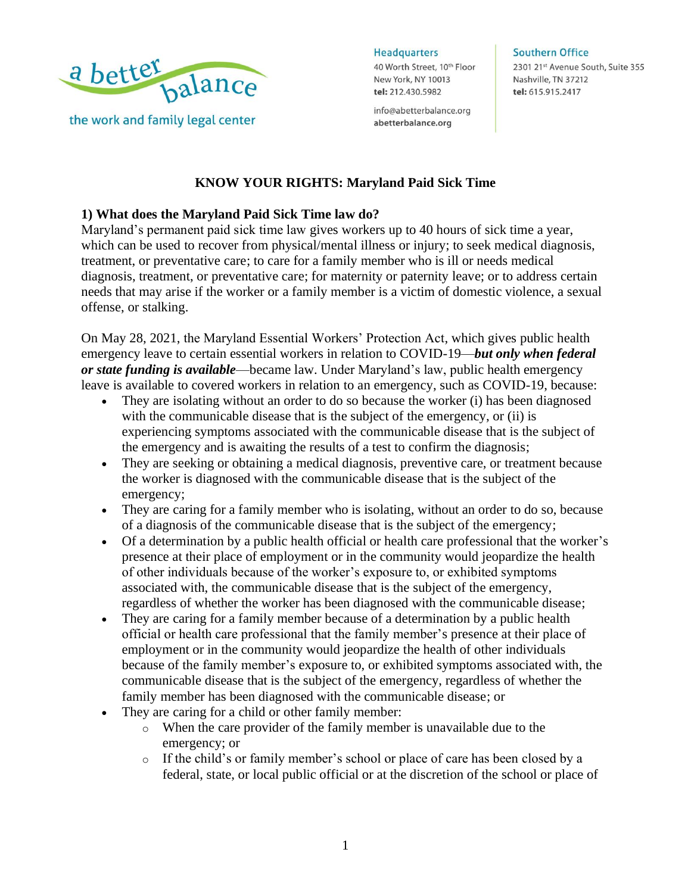

**Headquarters** 

40 Worth Street, 10th Floor New York, NY 10013 tel: 212.430.5982

info@abetterbalance.org abetterbalance.org

#### **Southern Office**

2301 21st Avenue South, Suite 355 Nashville, TN 37212 tel: 615.915.2417

## **KNOW YOUR RIGHTS: Maryland Paid Sick Time**

#### **1) What does the Maryland Paid Sick Time law do?**

Maryland's permanent paid sick time law gives workers up to 40 hours of sick time a year, which can be used to recover from physical/mental illness or injury; to seek medical diagnosis, treatment, or preventative care; to care for a family member who is ill or needs medical diagnosis, treatment, or preventative care; for maternity or paternity leave; or to address certain needs that may arise if the worker or a family member is a victim of domestic violence, a sexual offense, or stalking.

On May 28, 2021, the Maryland Essential Workers' Protection Act, which gives public health emergency leave to certain essential workers in relation to COVID-19—*but only when federal or state funding is available*—became law. Under Maryland's law, public health emergency leave is available to covered workers in relation to an emergency, such as COVID-19, because:

- They are isolating without an order to do so because the worker (i) has been diagnosed with the communicable disease that is the subject of the emergency, or (ii) is experiencing symptoms associated with the communicable disease that is the subject of the emergency and is awaiting the results of a test to confirm the diagnosis;
- They are seeking or obtaining a medical diagnosis, preventive care, or treatment because the worker is diagnosed with the communicable disease that is the subject of the emergency;
- They are caring for a family member who is isolating, without an order to do so, because of a diagnosis of the communicable disease that is the subject of the emergency;
- Of a determination by a public health official or health care professional that the worker's presence at their place of employment or in the community would jeopardize the health of other individuals because of the worker's exposure to, or exhibited symptoms associated with, the communicable disease that is the subject of the emergency, regardless of whether the worker has been diagnosed with the communicable disease;
- They are caring for a family member because of a determination by a public health official or health care professional that the family member's presence at their place of employment or in the community would jeopardize the health of other individuals because of the family member's exposure to, or exhibited symptoms associated with, the communicable disease that is the subject of the emergency, regardless of whether the family member has been diagnosed with the communicable disease; or
- They are caring for a child or other family member:
	- o When the care provider of the family member is unavailable due to the emergency; or
	- o If the child's or family member's school or place of care has been closed by a federal, state, or local public official or at the discretion of the school or place of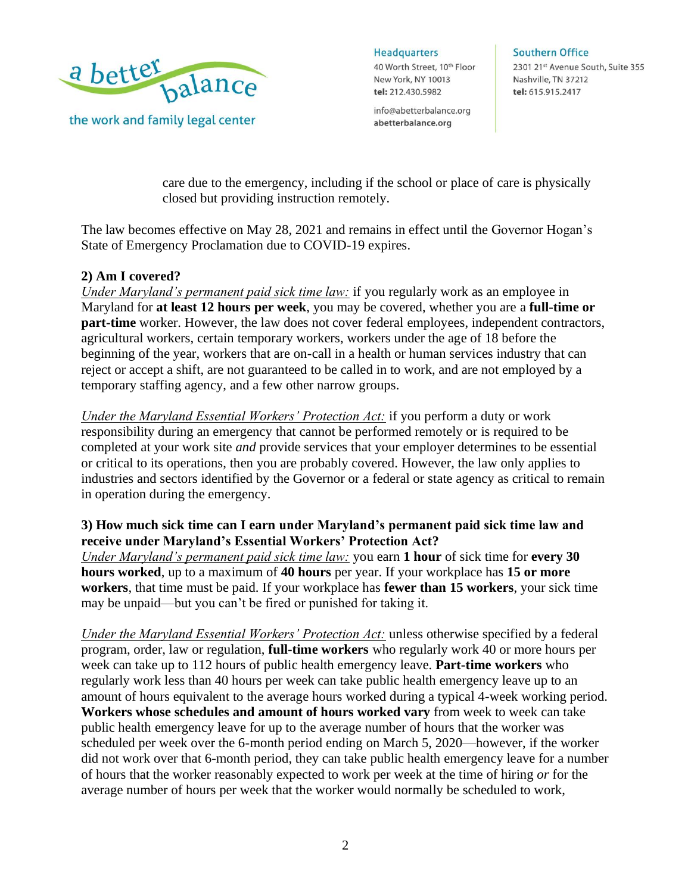

**Headquarters** 

40 Worth Street, 10th Floor New York, NY 10013 tel: 212.430.5982

info@abetterbalance.org abetterbalance.org

**Southern Office** 

2301 21st Avenue South, Suite 355 Nashville, TN 37212 tel: 615.915.2417

care due to the emergency, including if the school or place of care is physically closed but providing instruction remotely.

The law becomes effective on May 28, 2021 and remains in effect until the Governor Hogan's State of Emergency Proclamation due to COVID-19 expires.

## **2) Am I covered?**

*Under Maryland's permanent paid sick time law:* if you regularly work as an employee in Maryland for **at least 12 hours per week**, you may be covered, whether you are a **full-time or part-time** worker. However, the law does not cover federal employees, independent contractors, agricultural workers, certain temporary workers, workers under the age of 18 before the beginning of the year, workers that are on-call in a health or human services industry that can reject or accept a shift, are not guaranteed to be called in to work, and are not employed by a temporary staffing agency, and a few other narrow groups.

*Under the Maryland Essential Workers' Protection Act:* if you perform a duty or work responsibility during an emergency that cannot be performed remotely or is required to be completed at your work site *and* provide services that your employer determines to be essential or critical to its operations, then you are probably covered. However, the law only applies to industries and sectors identified by the Governor or a federal or state agency as critical to remain in operation during the emergency.

## **3) How much sick time can I earn under Maryland's permanent paid sick time law and receive under Maryland's Essential Workers' Protection Act?**

*Under Maryland's permanent paid sick time law:* you earn **1 hour** of sick time for **every 30 hours worked**, up to a maximum of **40 hours** per year. If your workplace has **15 or more workers**, that time must be paid. If your workplace has **fewer than 15 workers**, your sick time may be unpaid—but you can't be fired or punished for taking it.

*Under the Maryland Essential Workers' Protection Act:* unless otherwise specified by a federal program, order, law or regulation, **full-time workers** who regularly work 40 or more hours per week can take up to 112 hours of public health emergency leave. **Part-time workers** who regularly work less than 40 hours per week can take public health emergency leave up to an amount of hours equivalent to the average hours worked during a typical 4-week working period. **Workers whose schedules and amount of hours worked vary** from week to week can take public health emergency leave for up to the average number of hours that the worker was scheduled per week over the 6-month period ending on March 5, 2020—however, if the worker did not work over that 6-month period, they can take public health emergency leave for a number of hours that the worker reasonably expected to work per week at the time of hiring *or* for the average number of hours per week that the worker would normally be scheduled to work,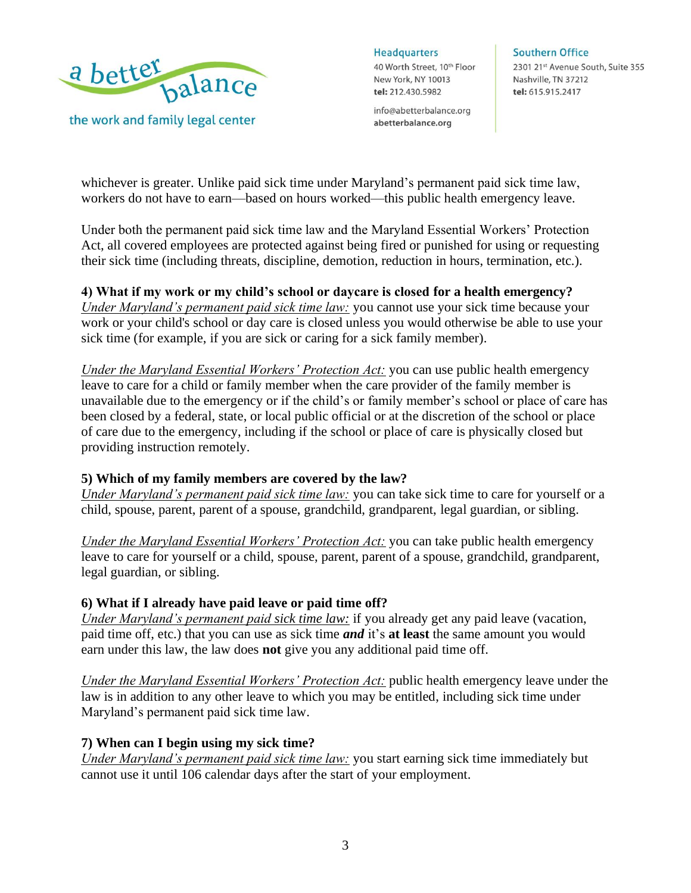

**Headquarters** 

40 Worth Street, 10th Floor New York, NY 10013 tel: 212.430.5982

info@abetterbalance.org abetterbalance.org

#### **Southern Office**

2301 21st Avenue South, Suite 355 Nashville, TN 37212 tel: 615.915.2417

whichever is greater. Unlike paid sick time under Maryland's permanent paid sick time law, workers do not have to earn—based on hours worked—this public health emergency leave.

Under both the permanent paid sick time law and the Maryland Essential Workers' Protection Act, all covered employees are protected against being fired or punished for using or requesting their sick time (including threats, discipline, demotion, reduction in hours, termination, etc.).

## **4) What if my work or my child's school or daycare is closed for a health emergency?**

*Under Maryland's permanent paid sick time law:* you cannot use your sick time because your work or your child's school or day care is closed unless you would otherwise be able to use your sick time (for example, if you are sick or caring for a sick family member).

*Under the Maryland Essential Workers' Protection Act:* you can use public health emergency leave to care for a child or family member when the care provider of the family member is unavailable due to the emergency or if the child's or family member's school or place of care has been closed by a federal, state, or local public official or at the discretion of the school or place of care due to the emergency, including if the school or place of care is physically closed but providing instruction remotely.

## **5) Which of my family members are covered by the law?**

*Under Maryland's permanent paid sick time law:* you can take sick time to care for yourself or a child, spouse, parent, parent of a spouse, grandchild, grandparent, legal guardian, or sibling.

*Under the Maryland Essential Workers' Protection Act:* you can take public health emergency leave to care for yourself or a child, spouse, parent, parent of a spouse, grandchild, grandparent, legal guardian, or sibling.

## **6) What if I already have paid leave or paid time off?**

*Under Maryland's permanent paid sick time law:* if you already get any paid leave (vacation, paid time off, etc.) that you can use as sick time *and* it's **at least** the same amount you would earn under this law, the law does **not** give you any additional paid time off.

*Under the Maryland Essential Workers' Protection Act:* public health emergency leave under the law is in addition to any other leave to which you may be entitled, including sick time under Maryland's permanent paid sick time law.

## **7) When can I begin using my sick time?**

*Under Maryland's permanent paid sick time law:* you start earning sick time immediately but cannot use it until 106 calendar days after the start of your employment.